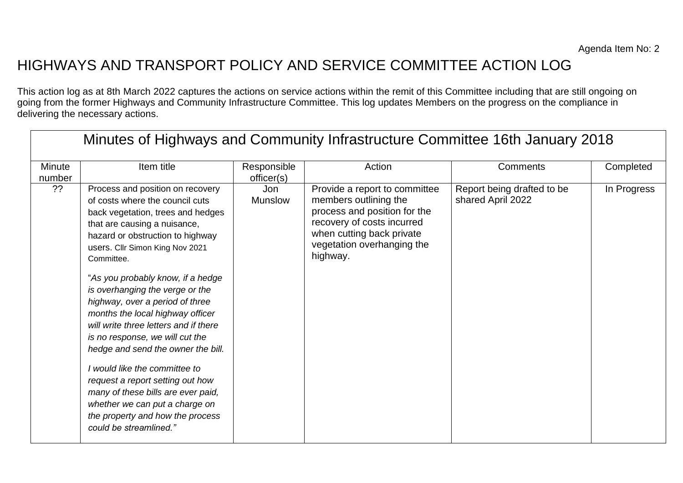## HIGHWAYS AND TRANSPORT POLICY AND SERVICE COMMITTEE ACTION LOG

This action log as at 8th March 2022 captures the actions on service actions within the remit of this Committee including that are still ongoing on going from the former Highways and Community Infrastructure Committee. This log updates Members on the progress on the compliance in delivering the necessary actions.

| Minutes of Highways and Community Infrastructure Committee 16th January 2018 |                                                                                                                                                                                                                                                                                                                                                                                                                                                                                                                                                                                                                                                                                                           |                              |                                                                                                                                                                                             |                                                 |             |
|------------------------------------------------------------------------------|-----------------------------------------------------------------------------------------------------------------------------------------------------------------------------------------------------------------------------------------------------------------------------------------------------------------------------------------------------------------------------------------------------------------------------------------------------------------------------------------------------------------------------------------------------------------------------------------------------------------------------------------------------------------------------------------------------------|------------------------------|---------------------------------------------------------------------------------------------------------------------------------------------------------------------------------------------|-------------------------------------------------|-------------|
| Minute<br>number                                                             | Item title                                                                                                                                                                                                                                                                                                                                                                                                                                                                                                                                                                                                                                                                                                | Responsible<br>officer(s)    | Action                                                                                                                                                                                      | Comments                                        | Completed   |
| ??                                                                           | Process and position on recovery<br>of costs where the council cuts<br>back vegetation, trees and hedges<br>that are causing a nuisance,<br>hazard or obstruction to highway<br>users. Cllr Simon King Nov 2021<br>Committee.<br>"As you probably know, if a hedge<br>is overhanging the verge or the<br>highway, over a period of three<br>months the local highway officer<br>will write three letters and if there<br>is no response, we will cut the<br>hedge and send the owner the bill.<br>I would like the committee to<br>request a report setting out how<br>many of these bills are ever paid,<br>whether we can put a charge on<br>the property and how the process<br>could be streamlined." | <b>Jon</b><br><b>Munslow</b> | Provide a report to committee<br>members outlining the<br>process and position for the<br>recovery of costs incurred<br>when cutting back private<br>vegetation overhanging the<br>highway. | Report being drafted to be<br>shared April 2022 | In Progress |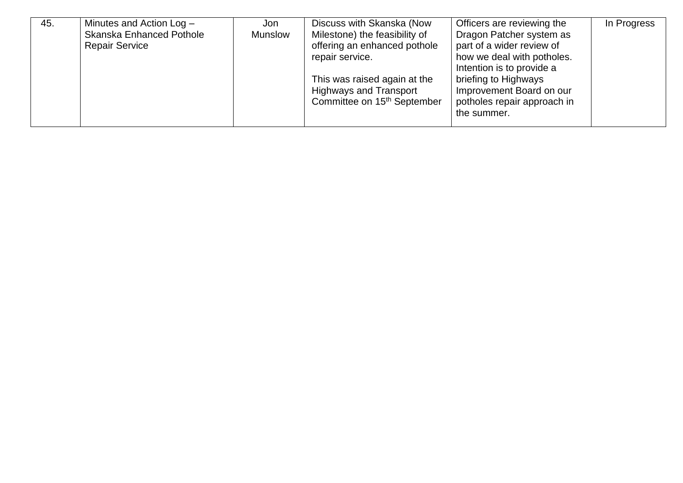| 45. | Minutes and Action Log -        | Jon            | Discuss with Skanska (Now               | Officers are reviewing the  | In Progress |
|-----|---------------------------------|----------------|-----------------------------------------|-----------------------------|-------------|
|     | <b>Skanska Enhanced Pothole</b> | <b>Munslow</b> | Milestone) the feasibility of           | Dragon Patcher system as    |             |
|     | <b>Repair Service</b>           |                | offering an enhanced pothole            | part of a wider review of   |             |
|     |                                 |                | repair service.                         | how we deal with potholes.  |             |
|     |                                 |                |                                         | Intention is to provide a   |             |
|     |                                 |                | This was raised again at the            | briefing to Highways        |             |
|     |                                 |                | <b>Highways and Transport</b>           | Improvement Board on our    |             |
|     |                                 |                | Committee on 15 <sup>th</sup> September | potholes repair approach in |             |
|     |                                 |                |                                         | the summer.                 |             |
|     |                                 |                |                                         |                             |             |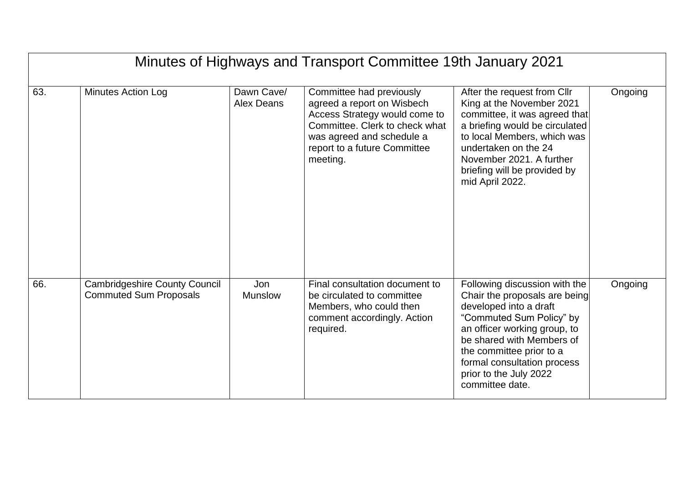|     | Minutes of Highways and Transport Committee 19th January 2021         |                          |                                                                                                                                                                                                    |                                                                                                                                                                                                                                                                                           |         |  |
|-----|-----------------------------------------------------------------------|--------------------------|----------------------------------------------------------------------------------------------------------------------------------------------------------------------------------------------------|-------------------------------------------------------------------------------------------------------------------------------------------------------------------------------------------------------------------------------------------------------------------------------------------|---------|--|
| 63. | <b>Minutes Action Log</b>                                             | Dawn Cave/<br>Alex Deans | Committee had previously<br>agreed a report on Wisbech<br>Access Strategy would come to<br>Committee. Clerk to check what<br>was agreed and schedule a<br>report to a future Committee<br>meeting. | After the request from Cllr<br>King at the November 2021<br>committee, it was agreed that<br>a briefing would be circulated<br>to local Members, which was<br>undertaken on the 24<br>November 2021. A further<br>briefing will be provided by<br>mid April 2022.                         | Ongoing |  |
| 66. | <b>Cambridgeshire County Council</b><br><b>Commuted Sum Proposals</b> | Jon<br><b>Munslow</b>    | Final consultation document to<br>be circulated to committee<br>Members, who could then<br>comment accordingly. Action<br>required.                                                                | Following discussion with the<br>Chair the proposals are being<br>developed into a draft<br>"Commuted Sum Policy" by<br>an officer working group, to<br>be shared with Members of<br>the committee prior to a<br>formal consultation process<br>prior to the July 2022<br>committee date. | Ongoing |  |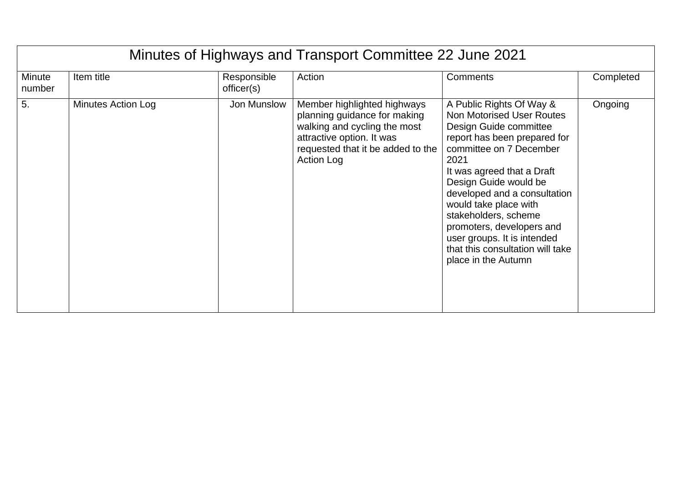|                  | Minutes of Highways and Transport Committee 22 June 2021 |                           |                                                                                                                                                                                    |                                                                                                                                                                                                                                                                                                                                                                                                                          |           |  |
|------------------|----------------------------------------------------------|---------------------------|------------------------------------------------------------------------------------------------------------------------------------------------------------------------------------|--------------------------------------------------------------------------------------------------------------------------------------------------------------------------------------------------------------------------------------------------------------------------------------------------------------------------------------------------------------------------------------------------------------------------|-----------|--|
| Minute<br>number | Item title                                               | Responsible<br>officer(s) | Action                                                                                                                                                                             | Comments                                                                                                                                                                                                                                                                                                                                                                                                                 | Completed |  |
| 5.               | <b>Minutes Action Log</b>                                | Jon Munslow               | Member highlighted highways<br>planning guidance for making<br>walking and cycling the most<br>attractive option. It was<br>requested that it be added to the<br><b>Action Log</b> | A Public Rights Of Way &<br><b>Non Motorised User Routes</b><br>Design Guide committee<br>report has been prepared for<br>committee on 7 December<br>2021<br>It was agreed that a Draft<br>Design Guide would be<br>developed and a consultation<br>would take place with<br>stakeholders, scheme<br>promoters, developers and<br>user groups. It is intended<br>that this consultation will take<br>place in the Autumn | Ongoing   |  |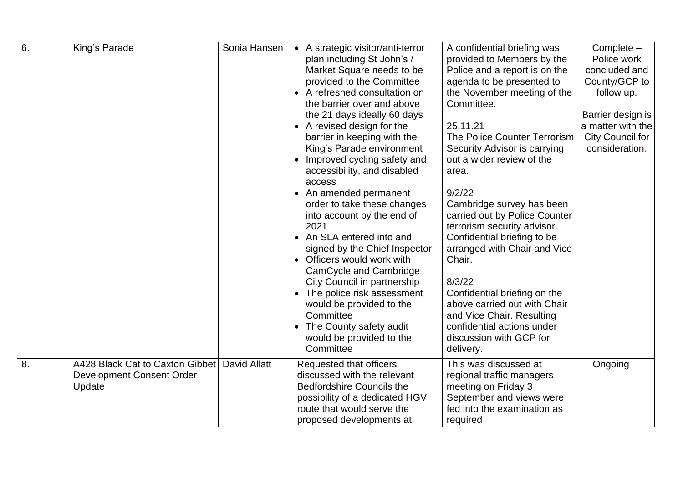| 6. | King's Parade                    | Sonia Hansen        | A strategic visitor/anti-terror<br>plan including St John's /   | A confidential briefing was<br>provided to Members by the | Complete -<br>Police work |
|----|----------------------------------|---------------------|-----------------------------------------------------------------|-----------------------------------------------------------|---------------------------|
|    |                                  |                     | Market Square needs to be                                       | Police and a report is on the                             | concluded and             |
|    |                                  |                     | provided to the Committee                                       | agenda to be presented to                                 | County/GCP to             |
|    |                                  |                     | A refreshed consultation on                                     | the November meeting of the                               | follow up.                |
|    |                                  |                     | the barrier over and above                                      | Committee.                                                |                           |
|    |                                  |                     | the 21 days ideally 60 days                                     |                                                           | Barrier design is         |
|    |                                  |                     | A revised design for the                                        | 25.11.21                                                  | a matter with the         |
|    |                                  |                     | barrier in keeping with the                                     | The Police Counter Terrorism                              | <b>City Council for</b>   |
|    |                                  |                     | King's Parade environment                                       | Security Advisor is carrying                              | consideration.            |
|    |                                  |                     | Improved cycling safety and                                     | out a wider review of the                                 |                           |
|    |                                  |                     | accessibility, and disabled                                     | area.                                                     |                           |
|    |                                  |                     | access<br>An amended permanent<br>$\bullet$                     | 9/2/22                                                    |                           |
|    |                                  |                     | order to take these changes                                     | Cambridge survey has been                                 |                           |
|    |                                  |                     | into account by the end of                                      | carried out by Police Counter                             |                           |
|    |                                  |                     | 2021                                                            | terrorism security advisor.                               |                           |
|    |                                  |                     | An SLA entered into and                                         | Confidential briefing to be                               |                           |
|    |                                  |                     | signed by the Chief Inspector                                   | arranged with Chair and Vice                              |                           |
|    |                                  |                     | Officers would work with<br>$\bullet$                           | Chair.                                                    |                           |
|    |                                  |                     | CamCycle and Cambridge                                          |                                                           |                           |
|    |                                  |                     | City Council in partnership                                     | 8/3/22                                                    |                           |
|    |                                  |                     | The police risk assessment                                      | Confidential briefing on the                              |                           |
|    |                                  |                     | would be provided to the                                        | above carried out with Chair                              |                           |
|    |                                  |                     | Committee                                                       | and Vice Chair. Resulting                                 |                           |
|    |                                  |                     | The County safety audit                                         | confidential actions under                                |                           |
|    |                                  |                     | would be provided to the<br>Committee                           | discussion with GCP for<br>delivery.                      |                           |
|    |                                  |                     |                                                                 |                                                           |                           |
| 8. | A428 Black Cat to Caxton Gibbet  | <b>David Allatt</b> | Requested that officers                                         | This was discussed at                                     | Ongoing                   |
|    | <b>Development Consent Order</b> |                     | discussed with the relevant<br><b>Bedfordshire Councils the</b> | regional traffic managers<br>meeting on Friday 3          |                           |
|    | Update                           |                     | possibility of a dedicated HGV                                  | September and views were                                  |                           |
|    |                                  |                     | route that would serve the                                      | fed into the examination as                               |                           |
|    |                                  |                     | proposed developments at                                        | required                                                  |                           |

Wyboston Wyboston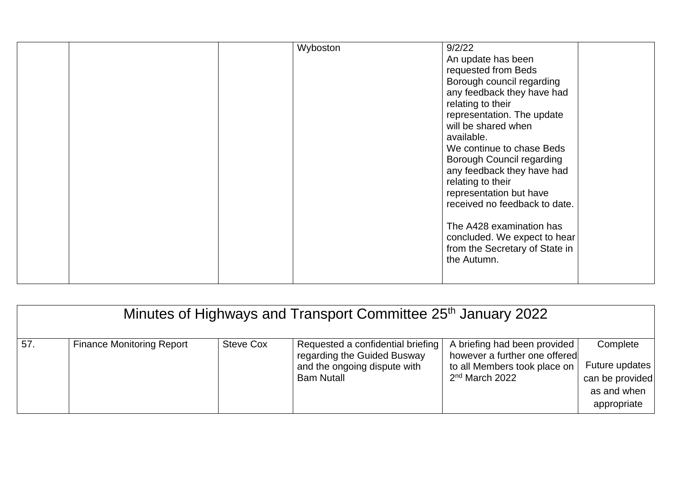|  | Wyboston | 9/2/22<br>An update has been<br>requested from Beds<br>Borough council regarding<br>any feedback they have had<br>relating to their<br>representation. The update<br>will be shared when<br>available.<br>We continue to chase Beds<br><b>Borough Council regarding</b><br>any feedback they have had<br>relating to their<br>representation but have<br>received no feedback to date.<br>The A428 examination has<br>concluded. We expect to hear<br>from the Secretary of State in<br>the Autumn. |
|--|----------|-----------------------------------------------------------------------------------------------------------------------------------------------------------------------------------------------------------------------------------------------------------------------------------------------------------------------------------------------------------------------------------------------------------------------------------------------------------------------------------------------------|
|--|----------|-----------------------------------------------------------------------------------------------------------------------------------------------------------------------------------------------------------------------------------------------------------------------------------------------------------------------------------------------------------------------------------------------------------------------------------------------------------------------------------------------------|

| Minutes of Highways and Transport Committee 25 <sup>th</sup> January 2022 |                                  |                  |                                                                                                                       |                                                                                                                             |                                                                             |
|---------------------------------------------------------------------------|----------------------------------|------------------|-----------------------------------------------------------------------------------------------------------------------|-----------------------------------------------------------------------------------------------------------------------------|-----------------------------------------------------------------------------|
| 57.                                                                       | <b>Finance Monitoring Report</b> | <b>Steve Cox</b> | Requested a confidential briefing<br>regarding the Guided Busway<br>and the ongoing dispute with<br><b>Bam Nutall</b> | A briefing had been provided<br>however a further one offered<br>to all Members took place on<br>2 <sup>nd</sup> March 2022 | Complete<br>Future updates<br>can be provided<br>as and when<br>appropriate |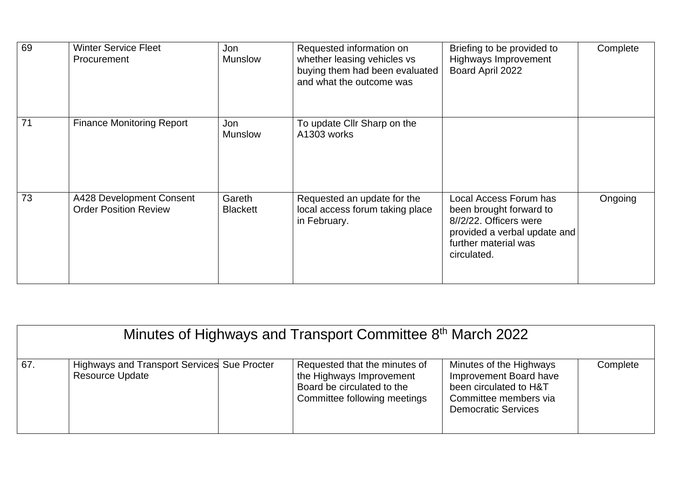| 69 | <b>Winter Service Fleet</b><br>Procurement               | Jon<br><b>Munslow</b>     | Requested information on<br>whether leasing vehicles vs<br>buying them had been evaluated<br>and what the outcome was | Briefing to be provided to<br><b>Highways Improvement</b><br>Board April 2022                                                                      | Complete |
|----|----------------------------------------------------------|---------------------------|-----------------------------------------------------------------------------------------------------------------------|----------------------------------------------------------------------------------------------------------------------------------------------------|----------|
| 71 | <b>Finance Monitoring Report</b>                         | Jon<br><b>Munslow</b>     | To update Cllr Sharp on the<br>A1303 works                                                                            |                                                                                                                                                    |          |
| 73 | A428 Development Consent<br><b>Order Position Review</b> | Gareth<br><b>Blackett</b> | Requested an update for the<br>local access forum taking place<br>in February.                                        | Local Access Forum has<br>been brought forward to<br>8//2/22. Officers were<br>provided a verbal update and<br>further material was<br>circulated. | Ongoing  |

|     | Minutes of Highways and Transport Committee 8 <sup>th</sup> March 2022       |  |                                                                                                                         |                                                                                                                                    |          |
|-----|------------------------------------------------------------------------------|--|-------------------------------------------------------------------------------------------------------------------------|------------------------------------------------------------------------------------------------------------------------------------|----------|
| 67. | <b>Highways and Transport Services Sue Procter</b><br><b>Resource Update</b> |  | Requested that the minutes of<br>the Highways Improvement<br>Board be circulated to the<br>Committee following meetings | Minutes of the Highways<br>Improvement Board have<br>been circulated to H&T<br>Committee members via<br><b>Democratic Services</b> | Complete |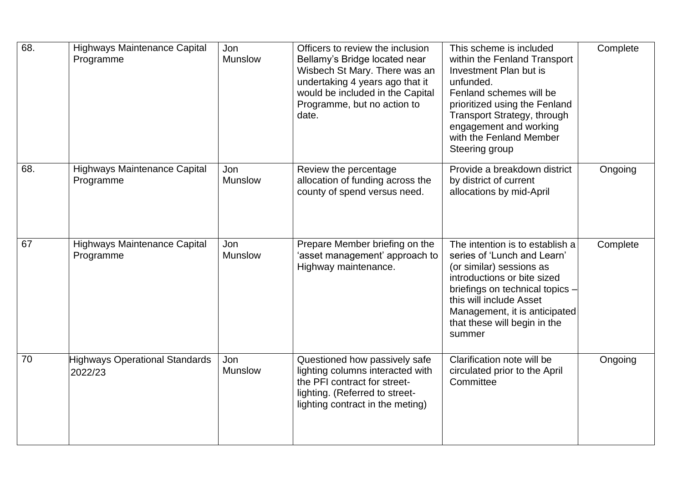| 68. | <b>Highways Maintenance Capital</b><br>Programme | Jon<br><b>Munslow</b> | Officers to review the inclusion<br>Bellamy's Bridge located near<br>Wisbech St Mary. There was an<br>undertaking 4 years ago that it<br>would be included in the Capital<br>Programme, but no action to<br>date. | This scheme is included<br>within the Fenland Transport<br>Investment Plan but is<br>unfunded.<br>Fenland schemes will be<br>prioritized using the Fenland<br>Transport Strategy, through<br>engagement and working<br>with the Fenland Member<br>Steering group   | Complete |
|-----|--------------------------------------------------|-----------------------|-------------------------------------------------------------------------------------------------------------------------------------------------------------------------------------------------------------------|--------------------------------------------------------------------------------------------------------------------------------------------------------------------------------------------------------------------------------------------------------------------|----------|
| 68. | <b>Highways Maintenance Capital</b><br>Programme | Jon<br><b>Munslow</b> | Review the percentage<br>allocation of funding across the<br>county of spend versus need.                                                                                                                         | Provide a breakdown district<br>by district of current<br>allocations by mid-April                                                                                                                                                                                 | Ongoing  |
| 67  | <b>Highways Maintenance Capital</b><br>Programme | Jon<br><b>Munslow</b> | Prepare Member briefing on the<br>'asset management' approach to<br>Highway maintenance.                                                                                                                          | The intention is to establish a<br>series of 'Lunch and Learn'<br>(or similar) sessions as<br>introductions or bite sized<br>briefings on technical topics -<br>this will include Asset<br>Management, it is anticipated<br>that these will begin in the<br>summer | Complete |
| 70  | <b>Highways Operational Standards</b><br>2022/23 | Jon<br><b>Munslow</b> | Questioned how passively safe<br>lighting columns interacted with<br>the PFI contract for street-<br>lighting. (Referred to street-<br>lighting contract in the meting)                                           | Clarification note will be<br>circulated prior to the April<br>Committee                                                                                                                                                                                           | Ongoing  |